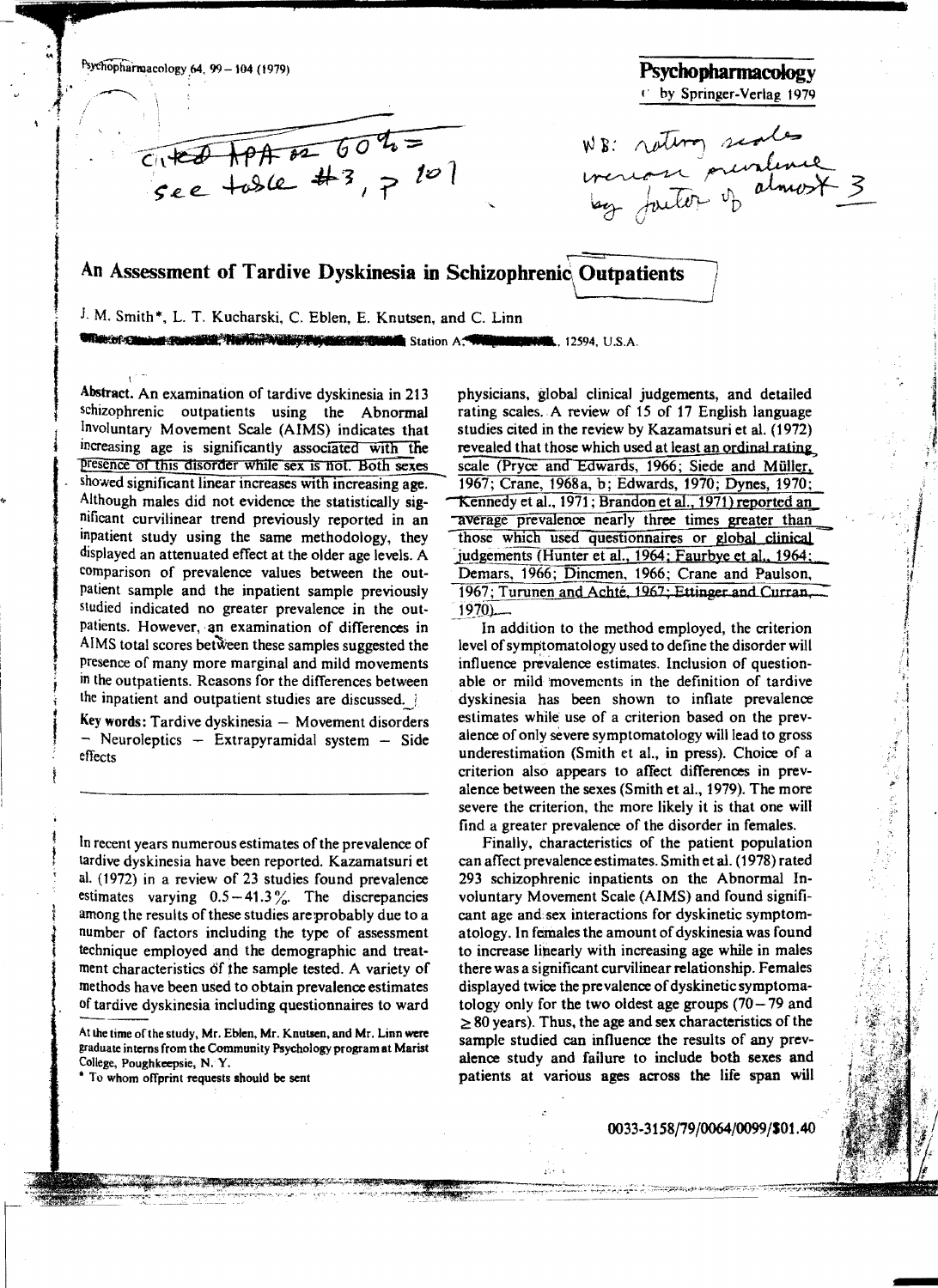Psychopharmacology 64, 99 - 104 (1979)

 $\mathcal{C}$ 

Cited APA or 60 h =

Psychopharmacology C by Springer-Verlag 1979

WB: natting scales

# An Assessment of Tardive Dyskinesia in Schizophrenic Outpatients

J. M. Smith\*, L. T. Kucharski, C. Eblen, E. Knutsen, and C. Linn With the Change Toronto, The River With The Control State State State A. With **WARRANTIE.**, 12594, U.S.A.

Abstract. An examination of tardive dyskinesia in 213 schizophrenic outpatients using the Abnormal Involuntary Movement Scale (AIMS) indicates that increasing age is significantly associated with the presence of this disorder while sex is not. Both sexes showed significant linear increases with increasing age. Although males did not evidence the statistically significant curvilinear trend previously reported in an inpatient study using the same methodology, they displayed an attenuated effect at the older age levels. A comparison of prevalence values between the outpatient sample and the inpatient sample previously studied indicated no greater prevalence in the outpatients. However, an examination of differences in AIMS total scores between these samples suggested the presence of many more marginal and mild movements in the outpatients. Reasons for the differences between the inpatient and outpatient studies are discussed. |

Key words: Tardive dyskinesia – Movement disorders  $-$  Neuroleptics  $-$  Extrapyramidal system  $-$  Side effects

In recent years numerous estimates of the prevalence of tardive dyskinesia have been reported. Kazamatsuri et al. (1972) in a review of 23 studies found prevalence estimates varying  $0.5-41.3\%$ . The discrepancies among the results of these studies are probably due to a number of factors including the type of assessment technique employed and the demographic and treatment characteristics of the sample tested. A variety of methods have been used to obtain prevalence estimates of tardive dyskinesia including questionnaires to ward

physicians, global clinical judgements, and detailed rating scales. A review of 15 of 17 English language studies cited in the review by Kazamatsuri et al. (1972) revealed that those which used at least an ordinal rating scale (Pryce and Edwards, 1966; Siede and Müller, 1967; Crane, 1968a, b; Edwards, 1970; Dynes, 1970; Kennedy et al., 1971; Brandon et al., 1971) reported an average prevalence nearly three times greater than those which used questionnaires or global clinical judgements (Hunter et al., 1964; Faurbye et al., 1964; Demars, 1966; Dincmen, 1966; Crane and Paulson, 1967; Turunen and Achté, 1967; Ettinger and Curran,  $1970$ 

In addition to the method employed, the criterion level of symptomatology used to define the disorder will influence prevalence estimates. Inclusion of questionable or mild movements in the definition of tardive dyskinesia has been shown to inflate prevalence estimates while use of a criterion based on the prevalence of only severe symptomatology will lead to gross underestimation (Smith et al., in press). Choice of a criterion also appears to affect differences in prevalence between the sexes (Smith et al., 1979). The more severe the criterion, the more likely it is that one will find a greater prevalence of the disorder in females.

Finally, characteristics of the patient population can affect prevalence estimates. Smith et al. (1978) rated 293 schizophrenic inpatients on the Abnormal Involuntary Movement Scale (AIMS) and found significant age and sex interactions for dyskinetic symptomatology. In females the amount of dyskinesia was found to increase linearly with increasing age while in males there was a significant curvilinear relationship. Females displayed twice the prevalence of dyskinetic symptomatology only for the two oldest age groups  $(70-79)$  and  $> 80$  years). Thus, the age and sex characteristics of the sample studied can influence the results of any prevalence study and failure to include both sexes and patients at various ages across the life span will

At the time of the study, Mr. Eblen, Mr. Knutsen, and Mr. Linn were graduate interns from the Community Psychology program at Marist College, Poughkeepsie, N.Y.

To whom offprint requests should be sent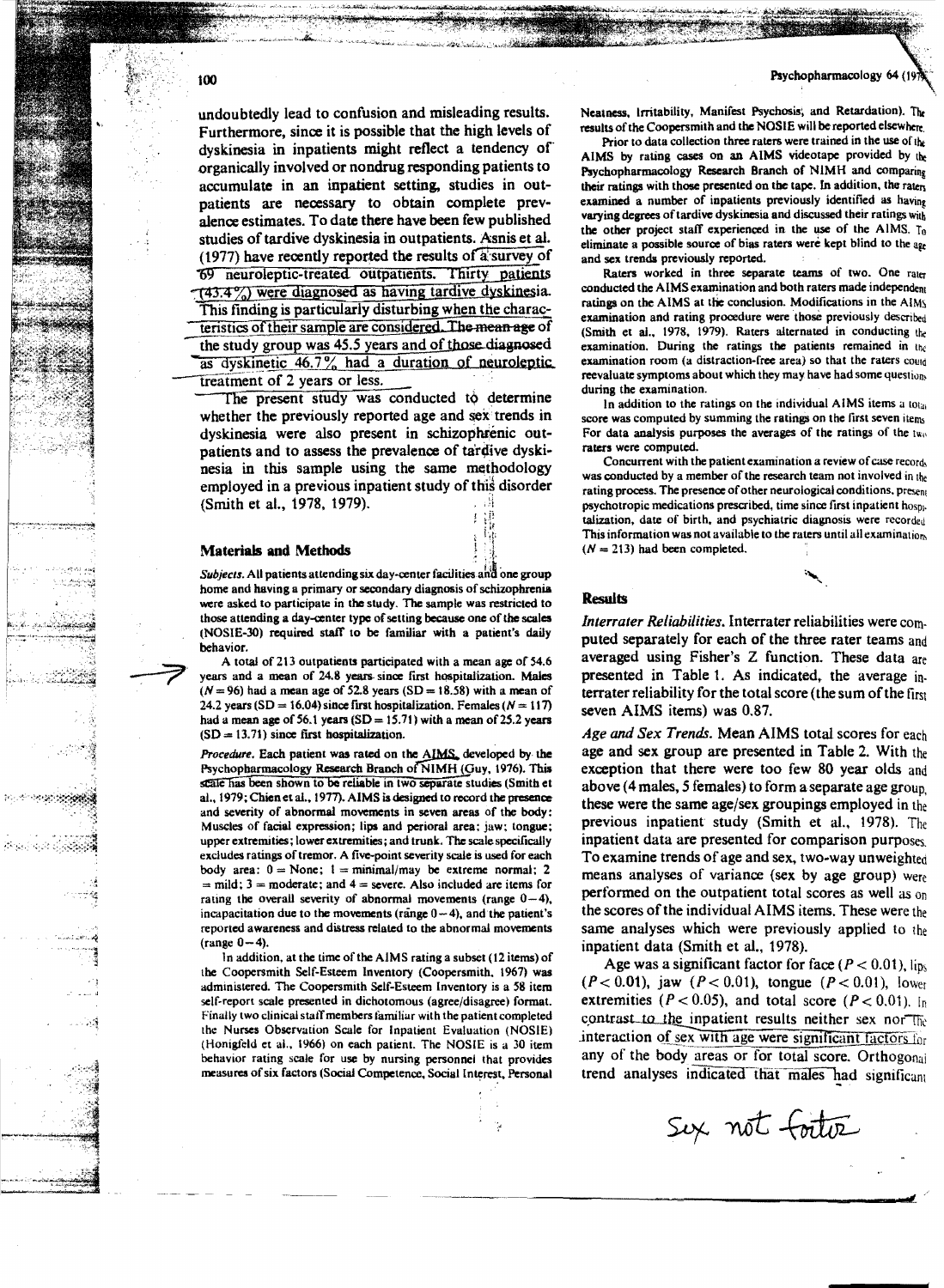undoubtedly lead to confusion and misleading results. Furthermore, since it is possible that the high levels of dyskinesia in inpatients might reflect a tendency of organically involved or nondrug responding patients to accumulate in an inpatient setting, studies in outpatients are necessary to obtain complete prevalence estimates. To date there have been few published studies of tardive dyskinesia in outpatients. Asnis et al.  $(1977)$  have recently reported the results of a survey of 69 neuroleptic-treated outpatients. Thirty patients  $(43.4\%)$  were diagnosed as having tardive dyskinesia. This finding is particularly disturbing when the characteristics of their sample are considered. The mean age of the study group was 45.5 years and of those diagnosed as dyskinetic  $46.7\%$  had a duration of neuroleptic. treatment of 2 years or less.

The present study was conducted to determine whether the previously reported age and sex trends in dyskinesia were also present in schizophrenic outpatients and to assess the prevalence of tardive dyskinesia in this sample using the same methodology employed in a previous inpatient study of this disorder (Smith et al., 1978, 1979).  ${\cal F}^{\rm B}_{\rm eff}$ 

#### **Materials and Methods**

Subjects. All patients attending six day-center facilities'ah<sup>l</sup> 4one group home and having a primary or secondary diagnosis of schizophrenia were asked to participate in the study. The sample was restricted to those attending a day-center type of setting because one of the scales (NOSIE-30) required staff to be familiar with a patient's daily behavior.

11+

Ý

A total of 213 outpatients participated with a mean age of 54.6 years and a mean of 24.8 years since first hospitalization. Males  $(N = 96)$  had a mean age of 52.8 years (SD = 18.58) with a mean of 24.2 years (SD = 16.04) since first hospitalization. Females ( $N = 117$ ) had a mean age of 56.1 years  $(SD = 15.71)$  with a mean of 25.2 years  $(SD = 13.71)$  since first hospitalization.

Procedure. Each patient was rated on the AIMS, developed by the Psychopharmacology Research Branch of NIMH (Guy, 1976). This scale has been shown to be reliable in two separate studies (Smith et al., 1979; Chien et al., 1977). AIMS is designed to record the presence and severity of abnormal movements in seven areas of the body: Muscles of facial expression; lips and perioral area: jaw; tongue; upper extremities; lower extremities; and trunk. The scale specifically excludes ratings of tremor. A five-point severity scale is used for each body area:  $0 = \text{None}$ ;  $1 = \text{minimal}/\text{may}$  be extreme normal; 2  $=$  mild; 3 = moderate; and 4 = severe. Also included are items for rating the overall severity of abnormal movements (range  $0-4$ ), incapacitation due to the movements (range  $0-4$ ), and the patient's reported awareness and distress related to the abnormal movements  $(range-4)$ .

In addition, at the time of the AIMS rating a subset (12 items) of the Coopersmith Self-Esteem Inventory (Coopersmith. 1967) was administered. The Coopersmith Self-Esteem Inventory is a 5S item self·report scale presented in dichotomous (agree/disagree) format. Finally two clinical staff members familiar with the patient completed the Nurses Observation Scale for Inpatient Evaluation (NOSIE) (Honigfeld et al., 1966) on each patient. The NOSIE is a 30 item behavior rating scale for use by nursing personnel that provides measures of six factors (Social Competence, Social Interest, Personal Neatness. Irritability, Manifest Psychosis; and Retardation). The results of the Coopersmith and the NOSIE will be reported elsewhere.

Prior to data collection three raters were trained in the use of  $t<sub>hc</sub>$ AIMS by rating cases on an AIMS videotape provided by  $t_{\text{hc}}$ Psychopharmacology Research Branch of NIMH and comparing their ratings with those presented on the tape. In addition, the raters examined a number of inpatients previously identified as having varying degrees of tardive dyskinesia and discussed their ratings with the other project staff experienced in the use of the AIMS.  $T_0$ eliminate a possible source of bias raters were kept blind to the  $_{22}$ and sex trends previously reported.

Raters worked in three separate teams of two. One rater conducted the AIMS examination and both raters made independent ratings on the AIMS at the conclusion. Modifications in the AIMS examination and rating procedure were those previously descnbed (Smith et al., 1978, 1979). Raters alternated in conducting the examination. During the ratings the patients remained in  $t_{\text{he}}$ examination room (a distraction-free area) so that the raters could reevaluate symptoms about which they may have had some question, during the examination.

In addition to the ratings on the individual AIMS items a  $\log_a$ score was computed by summing the ratings on the first seven item; For data analysis purposes the averages of the ratings of the  $t_{\text{W0}}$ raters were computed.

Concurrent with the patient examination a review of case recorded was conducted by a member of the research team not involved in  $th$ <sub>c</sub> rating process. The presence of other neurological conditions, present psychotropic medications prescribed, time since first inpatient hospitalization, date of birth, and psychiatric diagnosis were recorded This information was not available to the raters until all examination.  $(N=213)$  had been completed.

### Results

*Interrater Reliabilities.* Interrater reliabilities were com. puted separately for each of the three rater teams and averaged using Fisher's Z function. These data are presented in Table 1. As indicated. the average interrater reliability for the total score (the sum of the first seven AIMS items) was 0.87.

*Age and Sex Trends.* Mean AIMS total scores for each age and sex group are presented in Table 2. With the exception that there were too few 80 year olds and above (4 males, 5 females) to form a separate age group, these were the same age/sex groupings employed in the previous inpatient study (Smith et al., 1978). The inpatient data are presented for comparison purposes. To examine trends of age and sex, two-way unweighted means analyses of variance (sex by age group) were performed on the outpatient total scores as well as on the scores of the individual AIMS items. These were the same analyses which were previously applied to the inpatient data (Smith et al., 1978).

Age was a significant factor for face ( $P < 0.01$ ), lips *(P<* 0.01), jaw *(P<* 0.01), tongue *(P<* 0.01), lower extremities ( $P < 0.05$ ), and total score ( $P < 0.01$ ). In contrast to the inpatient results neither sex nor The interaction of sex with age were significant factors for any of the body areas or for total score. Orthogonai trend analyses indicated that males had significant

Sex not forter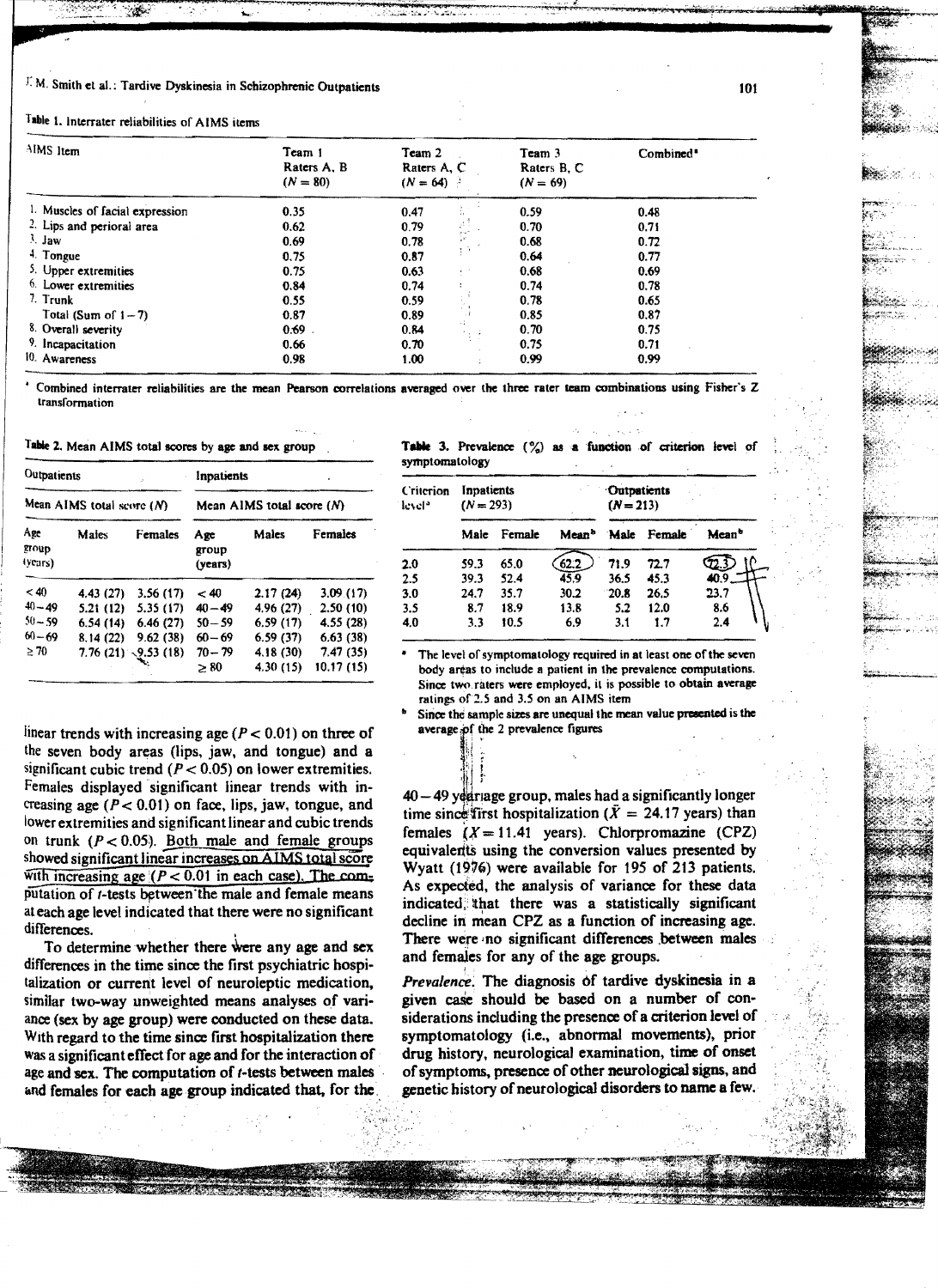# $L^2$ M. Smith et al.: Tardive Dyskinesia in Schizophrenic Outpatients to the contract of the contract of total and total and total and total and total and total and total and total and total and total and total and total

## Table 1. Interrater reliabilities of AIMS items

| AIMS Item                                   | Team 1<br>Raters A. B<br>$(N = 80)$ | Team 2<br>Raters A, C<br>$(N = 64)$ | Team 3<br>Raters B. C<br>$(N = 69)$ | Combined <sup>*</sup> |
|---------------------------------------------|-------------------------------------|-------------------------------------|-------------------------------------|-----------------------|
| <sup>1</sup> . Muscles of facial expression | 0.35                                | ž,<br>0.47                          | 0.59                                | 0.48                  |
| 2. Lips and perioral area                   | 0.62                                | ИI<br>0.79                          | 0.70                                | 0.71                  |
| $3.$ Jaw                                    | 0.69                                | $\mathbb{C}^2$<br>0.78              | 0.68                                | 0.72                  |
| <sup>4</sup> Tongue                         | 0.75                                | ţ9<br>0.87                          | 0.64                                | 0.77                  |
| 5. Upper extremities                        | 0.75                                | 0.63<br>÷                           | 0.68                                | 0.69                  |
| <sup>6</sup> . Lower extremities            | 0.84                                | 0.74<br>$\ddot{\phantom{a}}$        | 0.74                                | 0.78                  |
| 7. Trunk                                    | 0.55                                | 0.59                                | 0.78                                | 0.65                  |
| Total (Sum of $1-7$ )                       | 0.87                                | 0.89<br>- 5                         | 0.85                                | 0.87                  |
| 8. Overall severity                         | $0.69$ .                            | чš<br>0.84                          | 0.70                                | 0.75                  |
| 9. Incapacitation                           | 0.66                                | 0.70                                | 0.75                                | 0.71                  |
| 10. Awareness                               | 0.98                                | 1.00                                | 0.99                                | 0.99                  |

• Combined interrater reliabilities are the mean Pearson correlations averaged over the three rater team combinations using Fisher's Z transformation

Table 2. Mean AIMS total scores by age and sex group

| Outpatients               |           | J.                              | Inpatients                  |           |            |  |  |
|---------------------------|-----------|---------------------------------|-----------------------------|-----------|------------|--|--|
| Mean AIMS total score (N) |           |                                 | Mean AIMS total score $(N)$ |           |            |  |  |
| Age<br>group<br>(years)   | Maies     | Females                         | Age<br>group<br>(years)     | Males     | Females    |  |  |
| ~10                       | 4.43 (27) | 3.56(17)                        | ~< 40                       | 2.17(24)  | 3.09(17)   |  |  |
| $40 - 49$                 | 5.21(12)  | 5.35(17)                        | $40 - 49$                   | 4.96 (27) | 2.50(10)   |  |  |
| $50 - 59$                 | 6.54(14)  | 6.46(27)                        | $50 - 59$                   | 6.59(17)  | 4.55(28)   |  |  |
| $60 - 69$                 | 8.14(22)  | 9.62(38)                        | $60 - 69$                   | 6.59(37)  | 6.63(38)   |  |  |
| $\geq 70$                 |           | $7.76(21) \rightarrow 9.53(18)$ | $70 - 79$                   | 4.18 (30) | 7.47(35)   |  |  |
|                           |           |                                 | > 80                        | 4.30 (15) | 10.17 (15) |  |  |

linear trends with increasing age  $(P < 0.01)$  on three of the seven body areas (lips, jaw, and tongue) and a significant cubic trend  $(P < 0.05)$  on lower extremities. Females displayed significant linear trends with increasing age  $(P < 0.01)$  on face, lips, jaw, tongue, and lower extremities and significant linear and cubic trends on trunk  $(P < 0.05)$ . Both male and female groups showed significant linear increases on AIMS total score With increasing age ( $P < 0.01$  in each case). The computation of *t*-tests between the male and female means at each age level indicated that there were no significant differences.

To determine whether there were any age and sex differences in the time since the first psychiatric hospitalization or current level of neuroleptic medication. similar two-way unweighted means analyses of variance (sex by age group) were conducted on these data. With regard to the time since first hospitalization there was a significant effect for age and for the interaction of age and sex. The computation of *t*-tests between males and females for each age group indicated that, for the

Table 3. Prevalence (%) as a function of criterion level of symptomatology

| Criterion<br>level <sup>3</sup> | Inpatients<br>$(N = 293)$ |        |                   | Outpatients<br>$(N = 213)$ |        |                   |
|---------------------------------|---------------------------|--------|-------------------|----------------------------|--------|-------------------|
|                                 | Male                      | Female | Mean <sup>b</sup> | Male                       | Female | Mean <sup>+</sup> |
| 2.0                             | 59.3                      | 65.0   | 62.2              | 71.9                       | 72.7   |                   |
| 2.5                             | 39.3                      | 52.4   | 45.9              | 36.5                       | 45.3   | 40.9.             |
| 3.0                             | 24.7                      | 35.7   | 30.2              | 20.8                       | 26.5   | 23.7              |
| 3.5                             | 8.7                       | 18.9   | 13.8              | 5.2                        | 12.0   | 8.6               |
| 4,0                             | 3.3                       | 10.5   | 6.9               | 3.1                        | 1.7    | 2.4               |

The level of symptomatology required in at least one of the seven body areas to include a patient in the prevalence computations. Since two raters were employed, it is possible to obtain average ratings of2.S and *3.5* on an AIMS item

Since the sample sizes are unequal the mean value presented is the average of the 2 prevalence figures

 $\frac{1}{2}$  :  $\frac{1}{2}$  :  $\frac{1}{2}$  :  $\frac{1}{2}$  :  $\frac{1}{2}$  :  $\frac{1}{2}$ 

ql:i jn .

 $\mathbb{N}$  : 40 - 49 yearsage group, males had a significantly longer time since first hospitalization ( $\bar{X} = 24.17$  years) than females  $(X = 11.41$  years). Chlorpromazine (CPZ) equivaledts using the conversion values presented by Wyatt  $(1976)$  were available for 195 of 213 patients. As expected, the analysis of variance for these data indicated, that there was a statistically significant decline in mean CPZ as a function of increasing age. There were 'no significant differences ,between males and females for any of the age groups.

*Prevalence*. The diagnosis of tardive dyskinesia in a given case should be based on a number of considerations including the presence of a criterion level of symptomatology (i.e., abnormal movements), prior drug history, neurological examination, time of onset of symptoms, presence of other neurological signs, and genetic history of neurological disorders to name a few.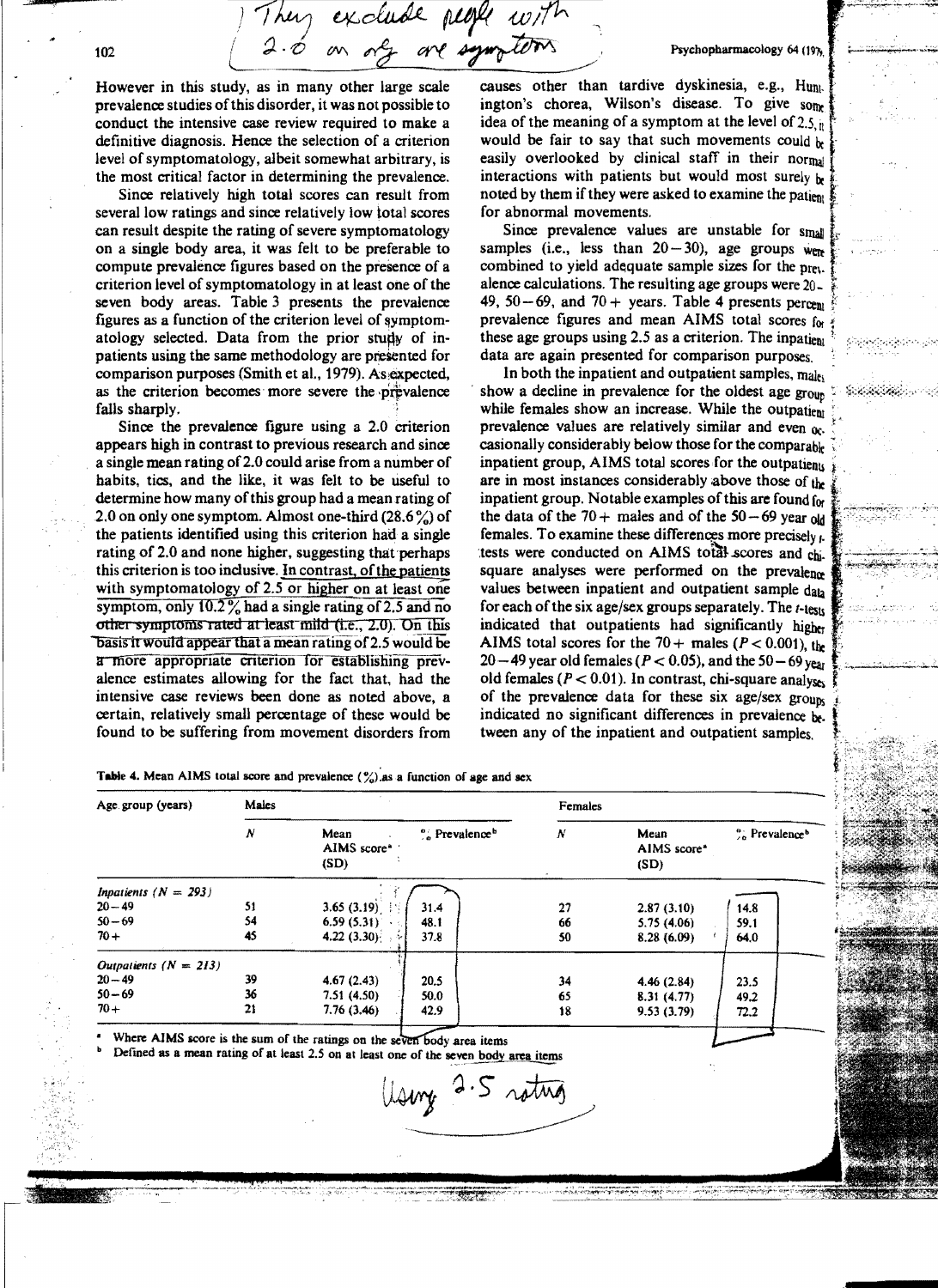$\int$  They exclude people  $wpH$ <br>102  $\left(2.0 \text{ m of } \frac{1}{2} \text{ or } \frac{1}{2} \text{ or } \frac{1}{2} \text{ or } \frac{1}{2} \text{ or } \frac{1}{2} \text{ or } \frac{1}{2} \text{ or } \frac{1}{2} \text{ or } \frac{1}{2} \text{ or } \frac{1}{2} \text{ or } \frac{1}{2} \text{ or } \frac{1}{2} \text{ or } \frac{1}{2} \text{ or } \frac{1}{2} \text{ or } \frac{1}{2} \text{ or } \frac{1}{2$ 

 $\epsilon$ 

 $\mathbf{f}_\mathrm{r}$ 

However in this study, as in many other large scale prevalence studies ofthis disorder, it was not possible to conduct the intensive case review required to make a definitive diagnosis. Hence the selection of a criterion level of symptomatology, albeit somewhat arbitrary, is the most critical factor in determining the prevalence.

Since relatively high total scores can result from several low ratings and since relatively low total scores can result despite the rating of severe symptomatology on a single body area, it was felt to be preferable to compute prevalence figures based on the presence of a criterion level of symptomatology in at least one of the seven body areas. Table 3 presents the prevalence figures as a function of the criterion level of symptomatology selected. Data from the prior study of inpatients using the same methodology are presented for comparison purposes (Smith et al., 1979). As expected, as the criterion becomes more severe the prevalence falls sharply.

Since the prevalence figure using a  $2.0$  criterion appears high in contrast to previous research and since a single mean rating of2.0 could arise from a number of habits, tics, and the like, it was felt to be useful to determine how many of this group had a mean rating of 2.0 on only one symptom. Almost one-third  $(28.6\%)$  of the patients identified using this criterion had a single rating of 2.0 and none higher, suggesting that perhaps this criterion is too inclusive. In contrast, of the patients with symptomatology of  $2.5$  or higher on at least one symptom, only  $10.2\%$  had a single rating of 2.5 and no other symptoms rated at least mild  $(i.e., 2.0)$ . On this basis it would appear that a mean rating of 2.5 would be a more appropriate criterion for establishing prevalence estimates allowing for the fact that, had the intensive case reviews been done as noted above, a certain, relatively small percentage of these would be found to be suffering from movement disorders from causes other than tardive dyskinesia, e.g., Hunl. ington's chorea, Wilson's disease. To give  $s_{0\text{thr}}$ idea of the meaning of a symptom at the level of  $2.5$ , it would be fair to say that such movements could  $\mathbf{b}$ easily overlooked by clinical staff in their normal interactions with patients but would most surely  $\mathbf{b}$ interactions with patients but would most surely  $b_r$  for noted by them if they were asked to examine the patient  $\frac{b_r}{b_r}$ noted by them if they were asked to examine the patient  $\frac{1}{2}$ <br>for abnormal movements.<br>Since providence volves are unstable for each

Since prevalence values are unstable for  $smail$ . samples (i.e., less than  $20 - 30$ ), age groups were combined to yield adequate sample sizes for the pre $\mathbf{r}$ . alence calculations. The resulting age groups were  $20-$ 49, 50  $-69$ , and 70 + years. Table 4 presents percem prevalence figures and mean AIMS total scores  $f_{0t}$ these age groups using 2.5 as a criterion. The inpatiem data are again presented for comparison purposes.

of the prevalence data for these six age/sex groups indicated no significant differences in prevalence be. tween any of the inpatient and outpatient samples. In both the inpatient and outpatient samples, males show a decline in prevalence for the oldest age group. while females show an increase. While the outpatient prevalence values are relatively similar and even  $_{0c}$ . casionally considerably below those for the comparable inpatient group, AIMS total scores for the outpatients are in most instances considerably above those of the inpatient group. Notable examples of this are found for the data of the 70 + males and of the  $50 - 69$  year old females. To examine these differences more precisely,. tests were conducted on AIMS total scores and chi. square analyses were performed on the prevalence values between inpatient and outpatient sample data for each of the six age/sex groups separately. The  $t$ -tests indicated that outpatients had significantly higher AIMS total scores for the 70 + males ( $P < 0.001$ ), the  $20-49$  year old females ( $P < 0.05$ ), and the 50 - 69 year old females ( $P < 0.01$ ). In contrast, chi-square analyses

|  |  |  |  |  |  | Table 4. Mean AIMS total score and prevalence $(\frac{9}{6})$ as a function of age and sex |  |  |  |  |
|--|--|--|--|--|--|--------------------------------------------------------------------------------------------|--|--|--|--|
|--|--|--|--|--|--|--------------------------------------------------------------------------------------------|--|--|--|--|

| Age group (years)             | Males |                                           |                            | Females |                                         |                                       |  |
|-------------------------------|-------|-------------------------------------------|----------------------------|---------|-----------------------------------------|---------------------------------------|--|
|                               | Ν     | Mean<br>AIMS score*<br>(SD)               | ". Prevalence <sup>b</sup> | N       | Mean<br>AIMS score <sup>*</sup><br>(SD) | $\frac{6}{2}$ Prevalence <sup>b</sup> |  |
| <i>Inpatients</i> $(N = 293)$ |       |                                           |                            |         |                                         |                                       |  |
| $20 - 49$                     | 51    | 극도<br>3.65(3.19)                          | 31.4                       | 27      | 2.87(3.10)                              | 14.8                                  |  |
| $50 - 69$                     | 54    | 6.59(5.31)<br>$\mathbf{v} = \mathbf{e}$ . | 48.1                       | 66      | 5.75(4.06)                              | 59.1                                  |  |
| $70 +$                        | 45    | 4.22 $(3.30)$                             | 37.8                       | 50      | 8.28(6.09)                              | 64.0                                  |  |
| Outpatients $(N = 213)$       |       |                                           |                            |         |                                         |                                       |  |
| $20 - 49$                     | 39    | 4.67(2.43)                                | 20.5                       | 34      | 4.46(2.84)                              | 23.5                                  |  |
| $50 - 69$                     | 36    | 7.51(4.50)                                | 50.0                       | 65      | 8.31(4.77)                              | 49.2                                  |  |
| $70 +$                        | 21    | 7.76(3.46)                                | 42.9                       | 18      | 9.53(3.79)                              | 72.2                                  |  |

Where AIMS score is the sum of the ratings on the seven body area items

Defined as a mean rating of at least 2.5 on at least one of the seven body area items area items<br>even body area it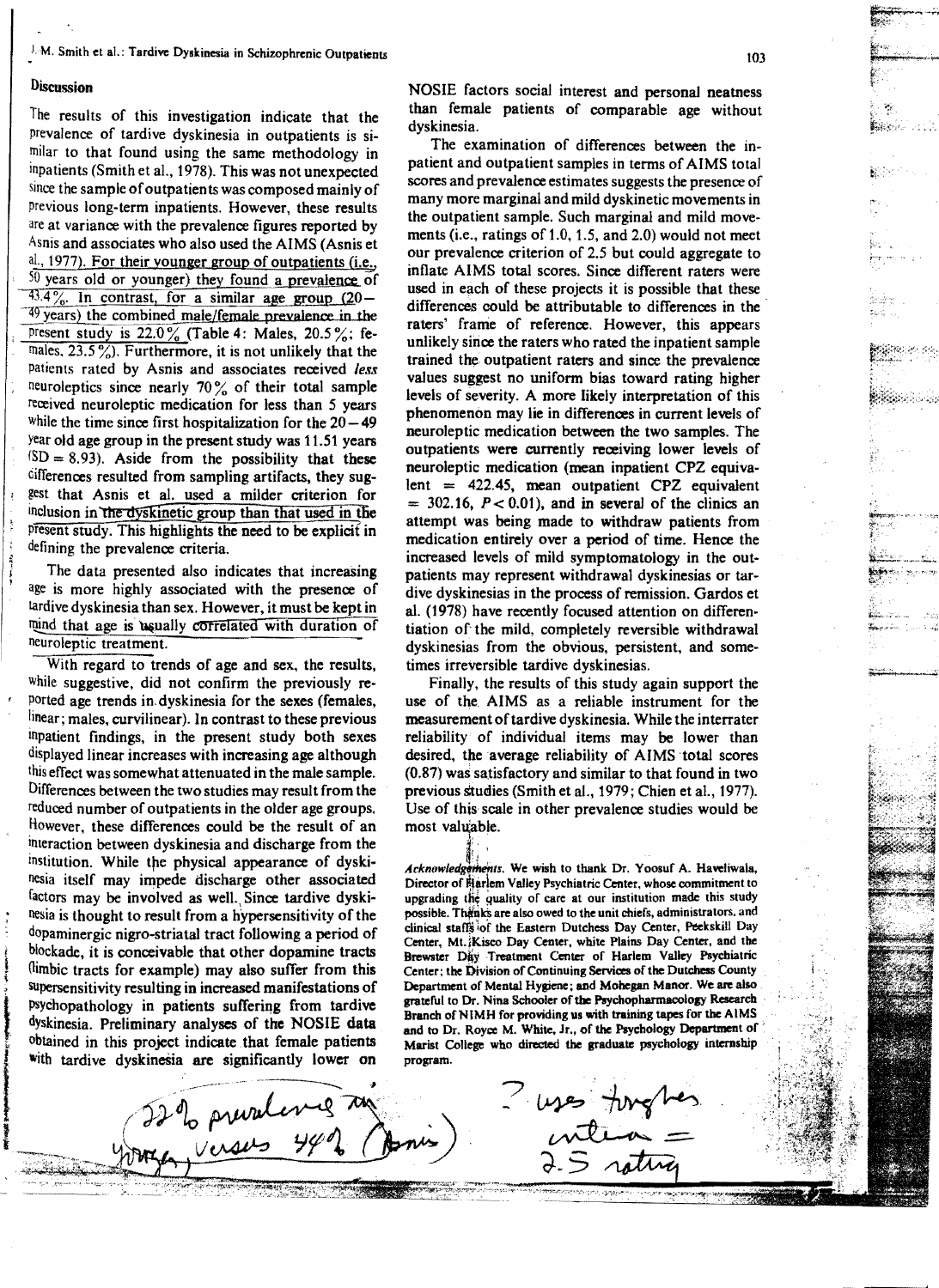1.-M. Smith et al.: Tardive Dyskinesia in Schizophrenic Outpatients

# Discussion

The results of this investigation indicate that the prevalence of tardive dyskinesia in outpatients is similar to that found using the same methodology in inpatients (Smith et a!., 1978). This was not unexpected since the sample of outpatients was composed mainly of previous long-term inpatients. However, these results are at variance with the prevalence figures reported by Asnis and associates who also used the AIMS (Asnis et al., 1977). For their younger group of outpatients (i.e., 50 years old or younger) they found a prevalence of  $\frac{43.4\%}{\pi}$ . In contrast, for a similar age group (20 - $49$  years) the combined male/female prevalence in the present study is  $22.0\%$  (Table 4: Males,  $20.5\%$ ; females,  $23.5\%$ ). Furthermore, it is not unlikely that the patients rated by Asnis and associates received *less*  neuroleptics since nearly  $70\%$  of their total sample received neuroleptic medication for less than 5 years while the time since first hospitalization for the  $20-49$ year old age group in the present study was 11.51 years  $SD = 8.93$ . Aside from the possibility that these cifferences resulted from sampling artifacts, they sug-<sup>I</sup>gest that Asnis et al. used a milder criterion for  $\frac{1}{2}$  inclusion in the dyskinetic group than that used in the present study. This highlights the need to be explicit in defining the prevalence criteria.

The data presented also indicates that increasing age is more highly associated with the presence of tardive dyskinesia than sex. However, it must be kept in wind that age is usually correlated with duration of neuroleptic treatment.

With regard to trends of age and sex, the results, While suggestive, did not confirm the previously re<sup>f</sup>ported age trends in. dyskinesia for the sexes (females, linear; males, curvilinear). In contrast to these previous inpatient findings, in the present study both sexes displayed linear increases with increasing age although this effect was somewhat attenuated in the male sample. Differences between the two studies may result from the reduced number of outpatients in the older age groups. However, these differences could be the result of an interaction between dyskinesia and discharge from the institution. While the physical appearance of dyskinesia itself may impede discharge other associated factors may be involved as well., Since tardive dyskinesia is thought to result from a hypersensitivity of the dopaminergic nigro-striatal tract following a period of blockade, it is conceivable that other dopamine tracts limbic tracts for example) may also suffer from this supersensitivity resulting in increased manifestations of Psychopathology in patients suffering from tardive dyskinesia. Preliminary analyses of the NOSIE data obtained in this project indicate that female patients with tardive dyskinesia are significantly lower on

NOSIE factors social interest and personal neatness than female patients of comparable age without dyskinesia.

The examination of differences between the inpatient and outpatient samples in terms of AIMS total scores and prevalence estimates suggests the presence of many more marginal and mild dyskinetic movements in the outpatient sample. Such marginal and mild movements (i.e., ratings of 1.0, 1.5, and 2.0) would not meet our prevalence criterion of 2.5 but could aggregate to inflate AIMS total scores. Since different raters were used in each of these projects it is possible that these differences could be attributable to differences in the raters' frame of reference. However, this appears unlikely since the raters who rated the inpatient sample trained the outpatient raters and since the prevalence values suggest no uniform bias toward rating higher levels of severity. A more likely interpretation of this phenomenon may lie in differences in current levels of neuroleptic medication between the two samples. The outpatients were currently receiving lower levels of neuroleptic medication (mean inpatient CPZ equivalent  $=$  422.45, mean outpatient CPZ equivalent  $=$  302.16,  $P < 0.01$ ), and in several of the clinics an attempt was being made to withdraw patients from medication entirely over a period of time. Hence the increased levels of mild symptomatology in the outpatients may represent withdrawal dyskinesias or tardive dyskinesias in the process of remission. Gardos et al. (1978) have recently focused attention on differentiation of the mild, completely reversible withdrawal dyskinesias from the obvious, persistent, and sometimes irreversible tardive dyskinesias.

Finally, the results of this study again support the use of the, AIMS as a reliable instrument for the measurement of tardive dyskinesia. While the interrater reliability of individual items may be lower than desired, the average reliability of AIMS total scores  $(0.87)$  was satisfactory and similar to that found in two previous Studies (Smith et al., 1979; Chien et ai., 1977). Use of this scale in other prevalence studies would be most valuable.

 $\mathbf{r}$  , ,

Acknowledgements. We wish to thank Dr. Yoosuf A. Haveliwala, Director of Harlem Valley Psychiatric Center, whose commitment to upgrading the quality of care at our institution made this study possible. Thenks are also owed to the unit chiefs, administrators. and clinical staffs of the Eastern Dutchess Day Center, Peekskill Day Center, Mt.jKisco Day Center, white Plains Day Center, and the Brewster Day Treatment Center of Harlem Valley Psychiatric Center; the Division of Continuing Services of the Dutchess County Department of Mental Hygiene; and Mohegan Manor. We are also ' grateful to Dr. Nina Schooler of the Psychopharmacology Research Branch of NIMH for providing us with training tapes for the AIMS and to Dr. Royce M. White, Jr., of the Psychology Department of Marist College who directed the graduate psycbology internship program.

 $<sup>2</sup>$  uses they bes</sup>

 $9.5$ 

 $m$ len $=$ 

,

, ,

j,

to3

| 12% prevalence.   |
|-------------------|
| Versus 442 (Anis) |